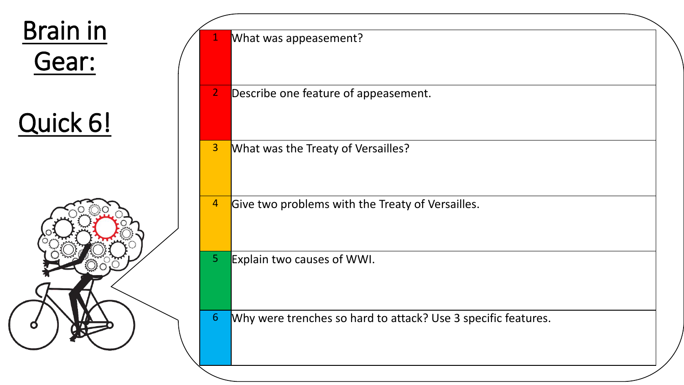

| $\mathbf{1}$   | What was appeasement?                                         |
|----------------|---------------------------------------------------------------|
| $\overline{2}$ | Describe one feature of appeasement.                          |
| $\overline{3}$ | What was the Treaty of Versailles?                            |
| 4              | Give two problems with the Treaty of Versailles.              |
| 5 <sub>1</sub> | Explain two causes of WWI.                                    |
| $\overline{6}$ | Why were trenches so hard to attack? Use 3 specific features. |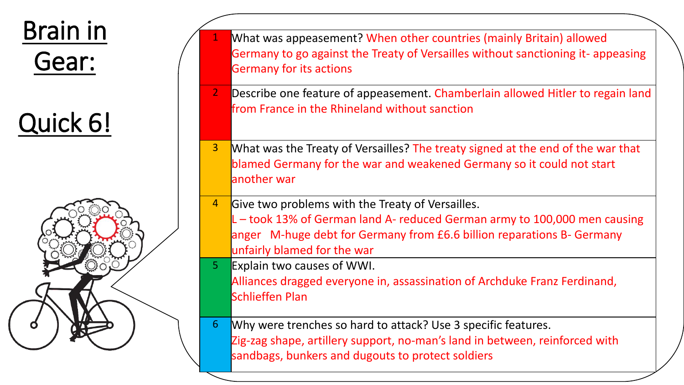

Quick 6!



| $\mathbf{1}$<br>$\overline{2}$ | What was appeasement? When other countries (mainly Britain) allowed<br>Germany to go against the Treaty of Versailles without sanctioning it-appeasing<br><b>Germany for its actions</b><br>Describe one feature of appeasement. Chamberlain allowed Hitler to regain land |
|--------------------------------|----------------------------------------------------------------------------------------------------------------------------------------------------------------------------------------------------------------------------------------------------------------------------|
|                                | from France in the Rhineland without sanction                                                                                                                                                                                                                              |
| 3 <sup>1</sup>                 | What was the Treaty of Versailles? The treaty signed at the end of the war that<br>blamed Germany for the war and weakened Germany so it could not start<br>another war                                                                                                    |
| $\overline{4}$                 | Give two problems with the Treaty of Versailles.<br>L-took 13% of German land A- reduced German army to 100,000 men causing<br>anger M-huge debt for Germany from £6.6 billion reparations B- Germany<br>unfairly blamed for the war                                       |
| 5 <sup>°</sup>                 | Explain two causes of WWI.<br>Alliances dragged everyone in, assassination of Archduke Franz Ferdinand,<br><b>Schlieffen Plan</b>                                                                                                                                          |
| 6 <sup>1</sup>                 | Why were trenches so hard to attack? Use 3 specific features.<br>Zig-zag shape, artillery support, no-man's land in between, reinforced with<br>sandbags, bunkers and dugouts to protect soldiers                                                                          |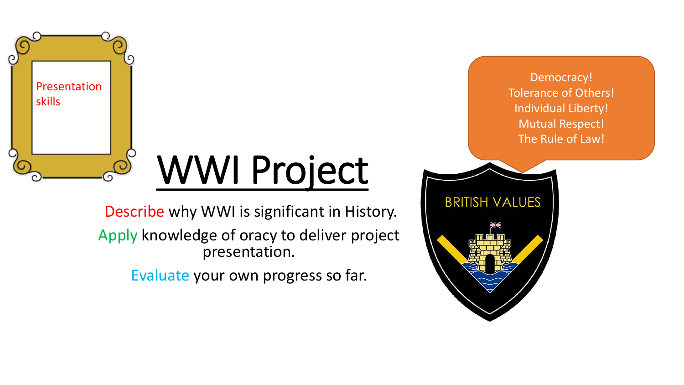

## WWI Project

Describe why WWI is significant in History. Apply knowledge of oracy to deliver project presentation.

Evaluate your own progress so far.

Democracy! Tolerance of Others! Individual Liberty! Mutual Respect! The Rule of Law!

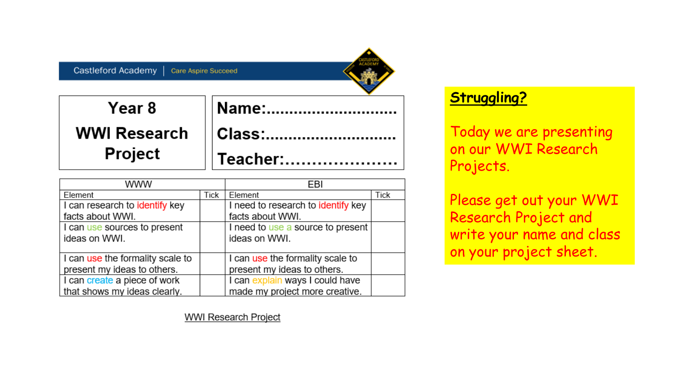

| Year 8  | <b>Mame:</b>           |
|---------|------------------------|
|         | WWI Research    Class: |
| Project | Teacher:               |

| www                              |             | EBI                                |      |
|----------------------------------|-------------|------------------------------------|------|
| Element                          | <b>Tick</b> | Element                            | Tick |
| I can research to identify key   |             | I need to research to identify key |      |
| facts about WWI.                 |             | facts about WWI.                   |      |
| I can use sources to present     |             | I need to use a source to present  |      |
| ideas on WWI.                    |             | ideas on WWI.                      |      |
|                                  |             |                                    |      |
| I can use the formality scale to |             | I can use the formality scale to   |      |
| present my ideas to others.      |             | present my ideas to others.        |      |
| I can create a piece of work     |             | I can explain ways I could have    |      |
| that shows my ideas clearly.     |             | made my project more creative.     |      |

**Struggling?**

Today we are presenting on our WWI Research Projects.

Please get out your WWI Research Project and write your name and class on your project sheet.

**WWI Research Project**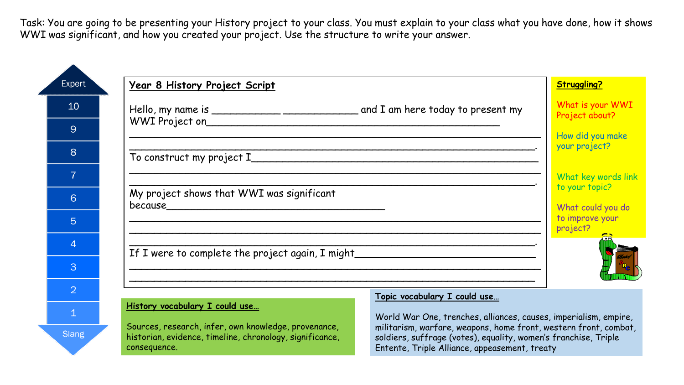Task: You are going to be presenting your History project to your class. You must explain to your class what you have done, how it shows WWI was significant, and how you created your project. Use the structure to write your answer.

| Expert       | <u>Year 8 History Project Script</u>                                                                             | <b>Struggling?</b>                                                                                                                  |  |  |
|--------------|------------------------------------------------------------------------------------------------------------------|-------------------------------------------------------------------------------------------------------------------------------------|--|--|
| 10           |                                                                                                                  | What is your WWI<br>Project about?                                                                                                  |  |  |
|              |                                                                                                                  | How did you make                                                                                                                    |  |  |
|              |                                                                                                                  | your project?                                                                                                                       |  |  |
|              |                                                                                                                  | What key words link                                                                                                                 |  |  |
|              | to your topic?<br>My project shows that WWI was significant<br>What could you do                                 |                                                                                                                                     |  |  |
|              |                                                                                                                  | to improve your<br>project?                                                                                                         |  |  |
|              | If I were to complete the project again, I might                                                                 |                                                                                                                                     |  |  |
|              |                                                                                                                  |                                                                                                                                     |  |  |
|              |                                                                                                                  |                                                                                                                                     |  |  |
|              | Topic vocabulary I could use<br>History vocabulary I could use                                                   | World War One, trenches, alliances, causes, imperialism, empire,                                                                    |  |  |
| <b>Slang</b> | Sources, research, infer, own knowledge, provenance,<br>historian, evidence, timeline, chronology, significance, | militarism, warfare, weapons, home front, western front, combat,<br>soldiers, suffrage (votes), equality, women's franchise, Triple |  |  |

consequence.

Entente, Triple Alliance, appeasement, treaty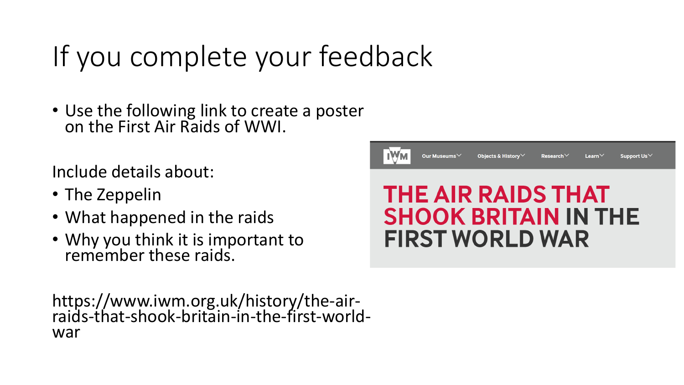## If you complete your feedback

• Use the following link to create a poster on the First Air Raids of WWI.

Include details about:

- The Zeppelin
- What happened in the raids
- Why you think it is important to remember these raids.



https://www.iwm.org.uk/history/the-airraids-that-shook-britain-in-the-first-worldwar